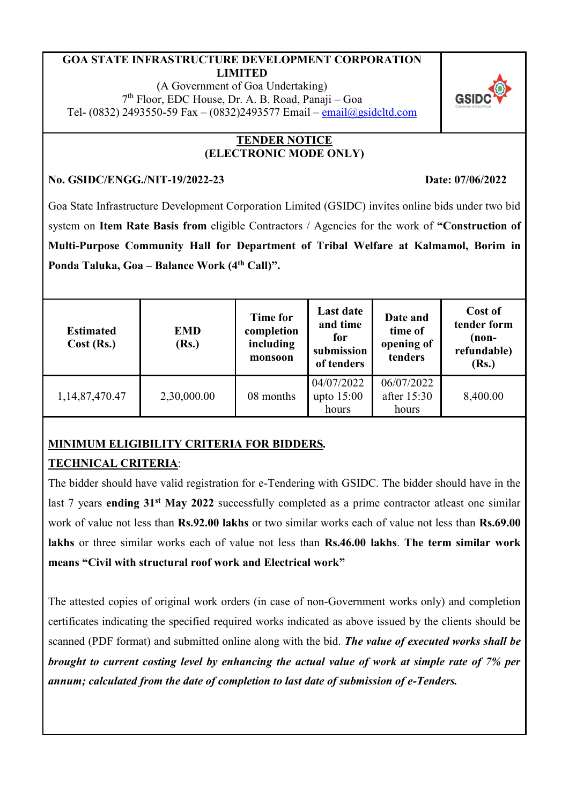#### **GOA STATE INFRASTRUCTURE DEVELOPMENT CORPORATION LIMITED**

(A Government of Goa Undertaking) 7 th Floor, EDC House, Dr. A. B. Road, Panaji – Goa Tel- (0832) 2493550-59 Fax – (0832)2493577 Email – [email@gsidcltd.com](mailto:email@gsidcltd.com)

#### **TENDER NOTICE (ELECTRONIC MODE ONLY)**

### **No. GSIDC/ENGG./NIT-19/2022-23 Date: 07/06/2022**

Goa State Infrastructure Development Corporation Limited (GSIDC) invites online bids under two bid system on **Item Rate Basis from** eligible Contractors / Agencies for the work of **"Construction of Multi-Purpose Community Hall for Department of Tribal Welfare at Kalmamol, Borim in Ponda Taluka, Goa – Balance Work (4 th Call)".**

| <b>Estimated</b><br>Cost (Rs.) | <b>EMD</b><br>(Rs.) | Time for<br>completion<br>including<br>monsoon | <b>Last date</b><br>and time<br>for<br>submission<br>of tenders | Date and<br>time of<br>opening of<br>tenders | Cost of<br>tender form<br>$(non-$<br>refundable)<br>(Rs.) |
|--------------------------------|---------------------|------------------------------------------------|-----------------------------------------------------------------|----------------------------------------------|-----------------------------------------------------------|
| 1,14,87,470.47                 | 2,30,000.00         | 08 months                                      | 04/07/2022<br>upto $15:00$<br>hours                             | 06/07/2022<br>after 15:30<br>hours           | 8,400.00                                                  |

# **MINIMUM ELIGIBILITY CRITERIA FOR BIDDERS***.*

# **TECHNICAL CRITERIA**:

The bidder should have valid registration for e-Tendering with GSIDC. The bidder should have in the last 7 years **ending 31st May 2022** successfully completed as a prime contractor atleast one similar work of value not less than **Rs.92.00 lakhs** or two similar works each of value not less than **Rs.69.00 lakhs** or three similar works each of value not less than **Rs.46.00 lakhs**. **The term similar work means "Civil with structural roof work and Electrical work"**

The attested copies of original work orders (in case of non-Government works only) and completion certificates indicating the specified required works indicated as above issued by the clients should be scanned (PDF format) and submitted online along with the bid. *The value of executed works shall be brought to current costing level by enhancing the actual value of work at simple rate of 7% per annum; calculated from the date of completion to last date of submission of e-Tenders.*

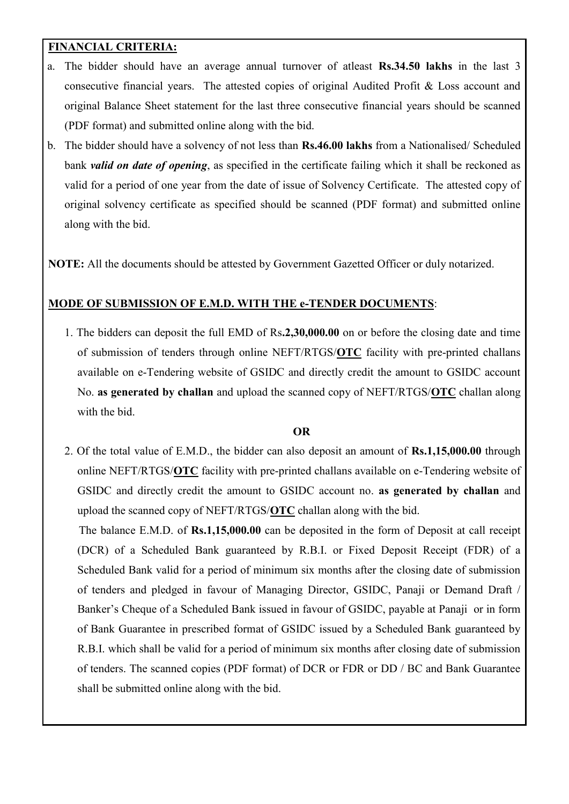### **FINANCIAL CRITERIA:**

- a. The bidder should have an average annual turnover of atleast **Rs.34.50 lakhs** in the last 3 consecutive financial years. The attested copies of original Audited Profit & Loss account and original Balance Sheet statement for the last three consecutive financial years should be scanned (PDF format) and submitted online along with the bid.
- b. The bidder should have a solvency of not less than **Rs.46.00 lakhs** from a Nationalised/ Scheduled bank *valid on date of opening*, as specified in the certificate failing which it shall be reckoned as valid for a period of one year from the date of issue of Solvency Certificate. The attested copy of original solvency certificate as specified should be scanned (PDF format) and submitted online along with the bid.

**NOTE:** All the documents should be attested by Government Gazetted Officer or duly notarized.

#### **MODE OF SUBMISSION OF E.M.D. WITH THE e-TENDER DOCUMENTS**:

1. The bidders can deposit the full EMD of Rs**.2,30,000.00** on or before the closing date and time of submission of tenders through online NEFT/RTGS/**OTC** facility with pre-printed challans available on e-Tendering website of GSIDC and directly credit the amount to GSIDC account No. **as generated by challan** and upload the scanned copy of NEFT/RTGS/**OTC** challan along with the bid.

#### **OR**

2. Of the total value of E.M.D., the bidder can also deposit an amount of **Rs.1,15,000.00** through online NEFT/RTGS/**OTC** facility with pre-printed challans available on e-Tendering website of GSIDC and directly credit the amount to GSIDC account no. **as generated by challan** and upload the scanned copy of NEFT/RTGS/**OTC** challan along with the bid.

 The balance E.M.D. of **Rs.1,15,000.00** can be deposited in the form of Deposit at call receipt (DCR) of a Scheduled Bank guaranteed by R.B.I. or Fixed Deposit Receipt (FDR) of a Scheduled Bank valid for a period of minimum six months after the closing date of submission of tenders and pledged in favour of Managing Director, GSIDC, Panaji or Demand Draft / Banker's Cheque of a Scheduled Bank issued in favour of GSIDC, payable at Panaji or in form of Bank Guarantee in prescribed format of GSIDC issued by a Scheduled Bank guaranteed by R.B.I. which shall be valid for a period of minimum six months after closing date of submission of tenders. The scanned copies (PDF format) of DCR or FDR or DD / BC and Bank Guarantee shall be submitted online along with the bid.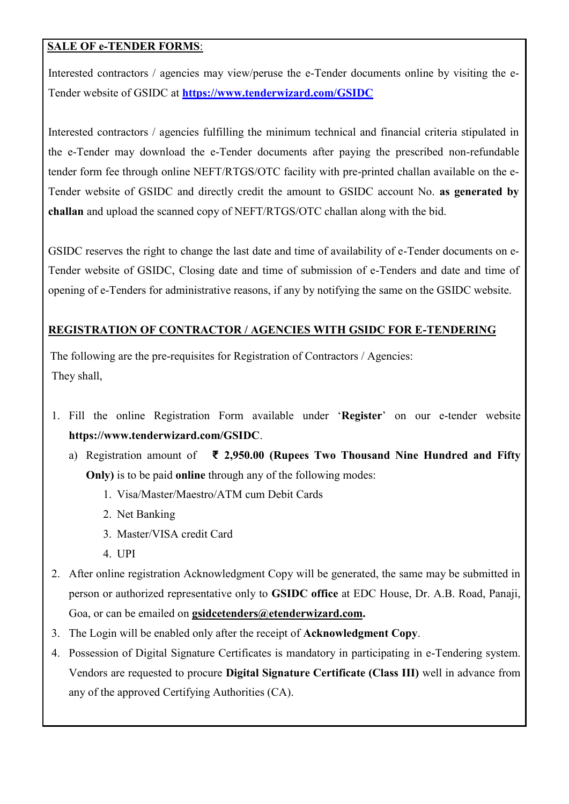### **SALE OF e-TENDER FORMS**:

Interested contractors / agencies may view/peruse the e-Tender documents online by visiting the e-Tender website of GSIDC at **<https://www.tenderwizard.com/GSIDC>**

Interested contractors / agencies fulfilling the minimum technical and financial criteria stipulated in the e-Tender may download the e-Tender documents after paying the prescribed non-refundable tender form fee through online NEFT/RTGS/OTC facility with pre-printed challan available on the e-Tender website of GSIDC and directly credit the amount to GSIDC account No. **as generated by challan** and upload the scanned copy of NEFT/RTGS/OTC challan along with the bid.

GSIDC reserves the right to change the last date and time of availability of e-Tender documents on e-Tender website of GSIDC, Closing date and time of submission of e-Tenders and date and time of opening of e-Tenders for administrative reasons, if any by notifying the same on the GSIDC website.

# **REGISTRATION OF CONTRACTOR / AGENCIES WITH GSIDC FOR E-TENDERING**

The following are the pre-requisites for Registration of Contractors / Agencies: They shall,

- 1. Fill the online Registration Form available under '**Register**' on our e-tender website **https://www.tenderwizard.com/GSIDC**.
	- a) Registration amount of **₹ 2,950.00 (Rupees Two Thousand Nine Hundred and Fifty Only)** is to be paid **online** through any of the following modes:
		- 1. Visa/Master/Maestro/ATM cum Debit Cards
		- 2. Net Banking
		- 3. Master/VISA credit Card
		- 4. UPI
- 2. After online registration Acknowledgment Copy will be generated, the same may be submitted in person or authorized representative only to **GSIDC office** at EDC House, Dr. A.B. Road, Panaji, Goa, or can be emailed on **[gsidcetenders@etenderwizard.com.](mailto:gsidcetenders@etenderwizard.com)**
- 3. The Login will be enabled only after the receipt of **Acknowledgment Copy**.
- 4. Possession of Digital Signature Certificates is mandatory in participating in e-Tendering system. Vendors are requested to procure **Digital Signature Certificate (Class III)** well in advance from any of the approved Certifying Authorities (CA).